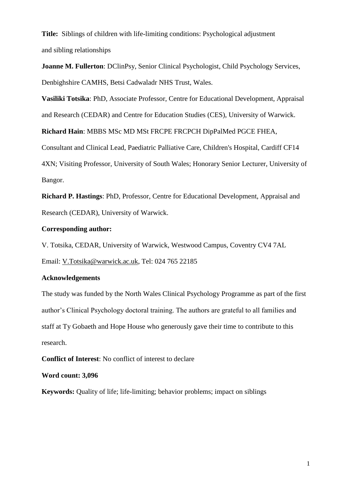**Title:** Siblings of children with life-limiting conditions: Psychological adjustment and sibling relationships

**Joanne M. Fullerton**: DClinPsy, Senior Clinical Psychologist, Child Psychology Services, Denbighshire CAMHS, Betsi Cadwaladr NHS Trust, Wales.

**Vasiliki Totsika**: PhD, Associate Professor, Centre for Educational Development, Appraisal and Research (CEDAR) and Centre for Education Studies (CES), University of Warwick.

**Richard Hain**: MBBS MSc MD MSt FRCPE FRCPCH DipPalMed PGCE FHEA,

Consultant and Clinical Lead, Paediatric Palliative Care, Children's Hospital, Cardiff CF14 4XN; Visiting Professor, University of South Wales; Honorary Senior Lecturer, University of Bangor.

**Richard P. Hastings**: PhD, Professor, Centre for Educational Development, Appraisal and Research (CEDAR), University of Warwick.

## **Corresponding author:**

V. Totsika, CEDAR, University of Warwick, Westwood Campus, Coventry CV4 7AL Email: [V.Totsika@warwick.ac.uk,](mailto:V.Totsika@warwick.ac.uk) Tel: 024 765 22185

# **Acknowledgements**

The study was funded by the North Wales Clinical Psychology Programme as part of the first author's Clinical Psychology doctoral training. The authors are grateful to all families and staff at Ty Gobaeth and Hope House who generously gave their time to contribute to this research.

**Conflict of Interest**: No conflict of interest to declare

## **Word count: 3,096**

**Keywords:** Quality of life; life-limiting; behavior problems; impact on siblings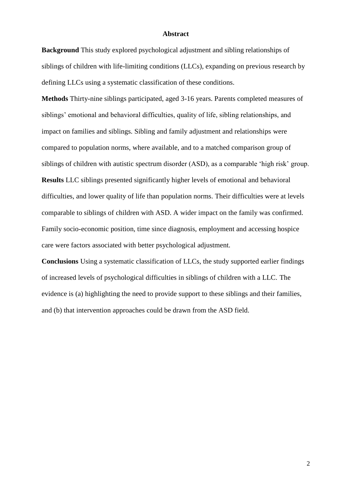#### **Abstract**

**Background** This study explored psychological adjustment and sibling relationships of siblings of children with life-limiting conditions (LLCs), expanding on previous research by defining LLCs using a systematic classification of these conditions.

**Methods** Thirty-nine siblings participated, aged 3-16 years. Parents completed measures of siblings' emotional and behavioral difficulties, quality of life, sibling relationships, and impact on families and siblings. Sibling and family adjustment and relationships were compared to population norms, where available, and to a matched comparison group of siblings of children with autistic spectrum disorder (ASD), as a comparable 'high risk' group.

**Results** LLC siblings presented significantly higher levels of emotional and behavioral difficulties, and lower quality of life than population norms. Their difficulties were at levels comparable to siblings of children with ASD. A wider impact on the family was confirmed. Family socio-economic position, time since diagnosis, employment and accessing hospice care were factors associated with better psychological adjustment.

**Conclusions** Using a systematic classification of LLCs, the study supported earlier findings of increased levels of psychological difficulties in siblings of children with a LLC. The evidence is (a) highlighting the need to provide support to these siblings and their families, and (b) that intervention approaches could be drawn from the ASD field.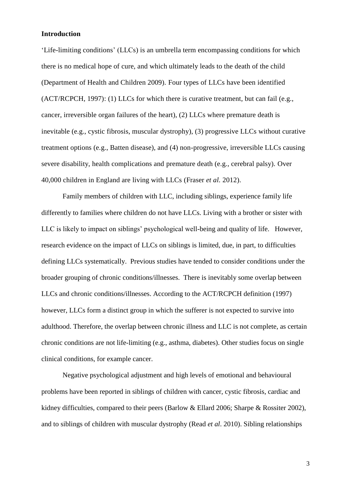#### **Introduction**

'Life-limiting conditions' (LLCs) is an umbrella term encompassing conditions for which there is no medical hope of cure, and which ultimately leads to the death of the child (Department of Health and Children 2009). Four types of LLCs have been identified (ACT/RCPCH, 1997): (1) LLCs for which there is curative treatment, but can fail (e.g., cancer, irreversible organ failures of the heart), (2) LLCs where premature death is inevitable (e.g., cystic fibrosis, muscular dystrophy), (3) progressive LLCs without curative treatment options (e.g., Batten disease), and (4) non-progressive, irreversible LLCs causing severe disability, health complications and premature death (e.g., cerebral palsy). Over 40,000 children in England are living with LLCs (Fraser *et al.* 2012).

Family members of children with LLC, including siblings, experience family life differently to families where children do not have LLCs. Living with a brother or sister with LLC is likely to impact on siblings' psychological well-being and quality of life. However, research evidence on the impact of LLCs on siblings is limited, due, in part, to difficulties defining LLCs systematically. Previous studies have tended to consider conditions under the broader grouping of chronic conditions/illnesses. There is inevitably some overlap between LLCs and chronic conditions/illnesses. According to the ACT/RCPCH definition (1997) however, LLCs form a distinct group in which the sufferer is not expected to survive into adulthood. Therefore, the overlap between chronic illness and LLC is not complete, as certain chronic conditions are not life-limiting (e.g., asthma, diabetes). Other studies focus on single clinical conditions, for example cancer.

Negative psychological adjustment and high levels of emotional and behavioural problems have been reported in siblings of children with cancer, cystic fibrosis, cardiac and kidney difficulties, compared to their peers (Barlow & Ellard 2006; Sharpe & Rossiter 2002), and to siblings of children with muscular dystrophy (Read *et al*. 2010). Sibling relationships

3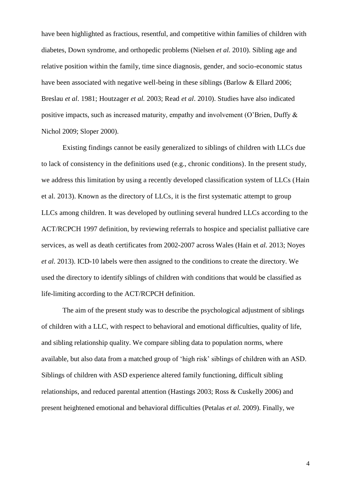have been highlighted as fractious, resentful, and competitive within families of children with diabetes, Down syndrome, and orthopedic problems (Nielsen *et al.* 2010). Sibling age and relative position within the family, time since diagnosis, gender, and socio-economic status have been associated with negative well-being in these siblings (Barlow & Ellard 2006; Breslau *et al*. 1981; Houtzager *et al.* 2003; Read *et al*. 2010). Studies have also indicated positive impacts, such as increased maturity, empathy and involvement (O'Brien, Duffy & Nichol 2009; Sloper 2000).

Existing findings cannot be easily generalized to siblings of children with LLCs due to lack of consistency in the definitions used (e.g., chronic conditions). In the present study, we address this limitation by using a recently developed classification system of LLCs (Hain et al. 2013). Known as the directory of LLCs, it is the first systematic attempt to group LLCs among children. It was developed by outlining several hundred LLCs according to the ACT/RCPCH 1997 definition, by reviewing referrals to hospice and specialist palliative care services, as well as death certificates from 2002-2007 across Wales (Hain et *al.* 2013; Noyes *et al.* 2013). ICD-10 labels were then assigned to the conditions to create the directory. We used the directory to identify siblings of children with conditions that would be classified as life-limiting according to the ACT/RCPCH definition.

The aim of the present study was to describe the psychological adjustment of siblings of children with a LLC, with respect to behavioral and emotional difficulties, quality of life, and sibling relationship quality. We compare sibling data to population norms, where available, but also data from a matched group of 'high risk' siblings of children with an ASD. Siblings of children with ASD experience altered family functioning, difficult sibling relationships, and reduced parental attention (Hastings 2003; Ross & Cuskelly 2006) and present heightened emotional and behavioral difficulties (Petalas *et al.* 2009). Finally, we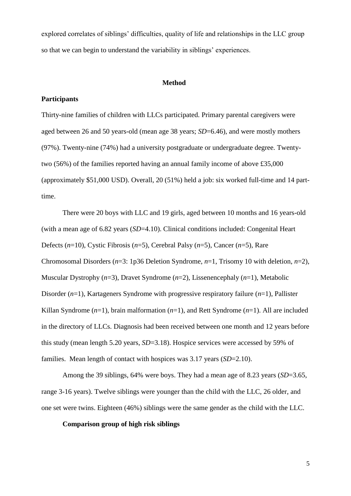explored correlates of siblings' difficulties, quality of life and relationships in the LLC group so that we can begin to understand the variability in siblings' experiences.

### **Method**

#### **Participants**

Thirty-nine families of children with LLCs participated. Primary parental caregivers were aged between 26 and 50 years-old (mean age 38 years; *SD*=6.46), and were mostly mothers (97%). Twenty-nine (74%) had a university postgraduate or undergraduate degree. Twentytwo (56%) of the families reported having an annual family income of above £35,000 (approximately \$51,000 USD). Overall, 20 (51%) held a job: six worked full-time and 14 parttime.

There were 20 boys with LLC and 19 girls, aged between 10 months and 16 years-old (with a mean age of 6.82 years (*SD*=4.10). Clinical conditions included: Congenital Heart Defects (*n*=10), Cystic Fibrosis (*n*=5), Cerebral Palsy (*n*=5), Cancer (*n*=5), Rare Chromosomal Disorders (*n*=3: 1p36 Deletion Syndrome, *n*=1, Trisomy 10 with deletion, *n*=2), Muscular Dystrophy (*n*=3), Dravet Syndrome (*n*=2), Lissenencephaly (*n*=1), Metabolic Disorder (*n*=1), Kartageners Syndrome with progressive respiratory failure (*n*=1), Pallister Killan Syndrome (*n*=1), brain malformation (*n*=1), and Rett Syndrome (*n*=1). All are included in the directory of LLCs. Diagnosis had been received between one month and 12 years before this study (mean length 5.20 years, *SD*=3.18). Hospice services were accessed by 59% of families. Mean length of contact with hospices was 3.17 years (*SD*=2.10).

Among the 39 siblings, 64% were boys. They had a mean age of 8.23 years (*SD*=3.65, range 3-16 years). Twelve siblings were younger than the child with the LLC, 26 older, and one set were twins. Eighteen (46%) siblings were the same gender as the child with the LLC.

## **Comparison group of high risk siblings**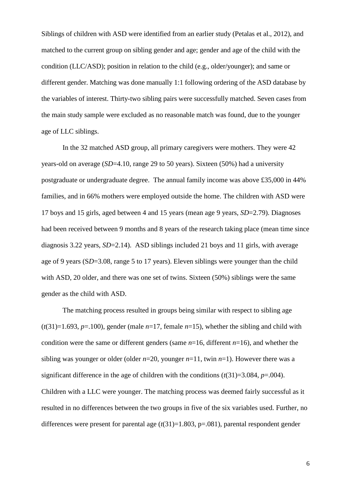Siblings of children with ASD were identified from an earlier study (Petalas et al., 2012), and matched to the current group on sibling gender and age; gender and age of the child with the condition (LLC/ASD); position in relation to the child (e.g., older/younger); and same or different gender. Matching was done manually 1:1 following ordering of the ASD database by the variables of interest. Thirty-two sibling pairs were successfully matched. Seven cases from the main study sample were excluded as no reasonable match was found, due to the younger age of LLC siblings.

In the 32 matched ASD group, all primary caregivers were mothers. They were 42 years-old on average (*SD*=4.10, range 29 to 50 years). Sixteen (50%) had a university postgraduate or undergraduate degree. The annual family income was above £35,000 in 44% families, and in 66% mothers were employed outside the home. The children with ASD were 17 boys and 15 girls, aged between 4 and 15 years (mean age 9 years, *SD*=2.79). Diagnoses had been received between 9 months and 8 years of the research taking place (mean time since diagnosis 3.22 years, *SD*=2.14). ASD siblings included 21 boys and 11 girls, with average age of 9 years (S*D*=3.08, range 5 to 17 years). Eleven siblings were younger than the child with ASD, 20 older, and there was one set of twins. Sixteen (50%) siblings were the same gender as the child with ASD.

The matching process resulted in groups being similar with respect to sibling age  $(t(31)=1.693, p=.100)$ , gender (male  $n=17$ , female  $n=15$ ), whether the sibling and child with condition were the same or different genders (same *n*=16, different *n*=16), and whether the sibling was younger or older (older  $n=20$ , younger  $n=11$ , twin  $n=1$ ). However there was a significant difference in the age of children with the conditions  $(t(31)=3.084, p=.004)$ . Children with a LLC were younger. The matching process was deemed fairly successful as it resulted in no differences between the two groups in five of the six variables used. Further, no differences were present for parental age  $(t(31)=1.803, p=.081)$ , parental respondent gender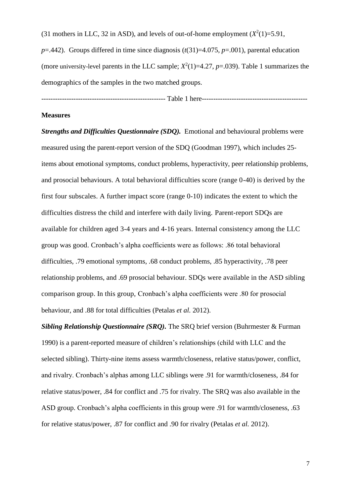(31 mothers in LLC, 32 in ASD), and levels of out-of-home employment  $(X^2(1)=5.91)$ ,  $p=0.442$ ). Groups differed in time since diagnosis  $(t(31)=4.075, p=.001)$ , parental education (more university-level parents in the LLC sample;  $X^2(1)=4.27$ ,  $p=.039$ ). Table 1 summarizes the demographics of the samples in the two matched groups.

------------------------------------------------------ Table 1 here----------------------------------------------

#### **Measures**

*Strengths and Difficulties Questionnaire (SDQ).* Emotional and behavioural problems were measured using the parent-report version of the SDQ (Goodman 1997), which includes 25 items about emotional symptoms, conduct problems, hyperactivity, peer relationship problems, and prosocial behaviours. A total behavioral difficulties score (range 0-40) is derived by the first four subscales. A further impact score (range 0-10) indicates the extent to which the difficulties distress the child and interfere with daily living. Parent-report SDQs are available for children aged 3-4 years and 4-16 years. Internal consistency among the LLC group was good. Cronbach's alpha coefficients were as follows: .86 total behavioral difficulties, .79 emotional symptoms, .68 conduct problems, .85 hyperactivity, .78 peer relationship problems, and .69 prosocial behaviour. SDQs were available in the ASD sibling comparison group. In this group, Cronbach's alpha coefficients were .80 for prosocial behaviour, and .88 for total difficulties (Petalas *et al.* 2012).

*Sibling Relationship Questionnaire (SRQ).* The SRQ brief version (Buhrmester & Furman 1990) is a parent-reported measure of children's relationships (child with LLC and the selected sibling). Thirty-nine items assess warmth/closeness, relative status/power, conflict, and rivalry. Cronbach's alphas among LLC siblings were .91 for warmth/closeness, .84 for relative status/power, .84 for conflict and .75 for rivalry. The SRQ was also available in the ASD group. Cronbach's alpha coefficients in this group were .91 for warmth/closeness, .63 for relative status/power, .87 for conflict and .90 for rivalry (Petalas *et al.* 2012).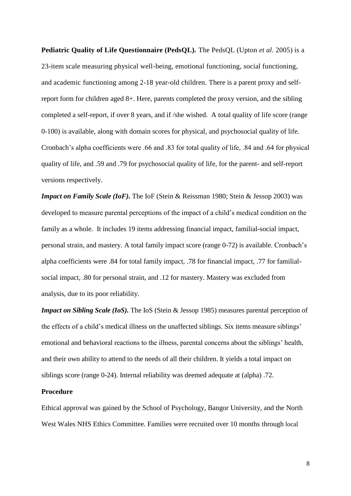**Pediatric Quality of Life Questionnaire (PedsQL).** The PedsQL (Upton *et al*. 2005) is a 23-item scale measuring physical well-being, emotional functioning, social functioning, and academic functioning among 2-18 year-old children. There is a parent proxy and selfreport form for children aged 8+. Here, parents completed the proxy version, and the sibling completed a self-report, if over 8 years, and if /she wished. A total quality of life score (range 0-100) is available, along with domain scores for physical, and psychosocial quality of life. Cronbach's alpha coefficients were .66 and .83 for total quality of life, .84 and .64 for physical quality of life, and .59 and .79 for psychosocial quality of life, for the parent- and self-report versions respectively.

*Impact on Family Scale (IoF)*. The IoF (Stein & Reissman 1980; Stein & Jessop 2003) was developed to measure parental perceptions of the impact of a child's medical condition on the family as a whole. It includes 19 items addressing financial impact, familial-social impact, personal strain, and mastery. A total family impact score (range 0-72) is available. Cronbach's alpha coefficients were .84 for total family impact, .78 for financial impact, .77 for familialsocial impact, .80 for personal strain, and .12 for mastery. Mastery was excluded from analysis, due to its poor reliability.

*Impact on Sibling Scale (IoS).* The IoS (Stein & Jessop 1985) measures parental perception of the effects of a child's medical illness on the unaffected siblings. Six items measure siblings' emotional and behavioral reactions to the illness, parental concerns about the siblings' health, and their own ability to attend to the needs of all their children. It yields a total impact on siblings score (range 0-24). Internal reliability was deemed adequate at (alpha) .72.

### **Procedure**

Ethical approval was gained by the School of Psychology, Bangor University, and the North West Wales NHS Ethics Committee. Families were recruited over 10 months through local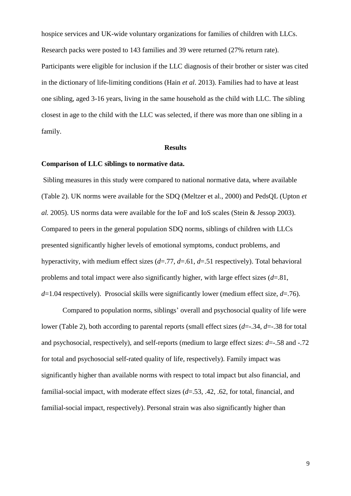hospice services and UK-wide voluntary organizations for families of children with LLCs. Research packs were posted to 143 families and 39 were returned (27% return rate). Participants were eligible for inclusion if the LLC diagnosis of their brother or sister was cited in the dictionary of life-limiting conditions (Hain *et al*. 2013). Families had to have at least one sibling, aged 3-16 years, living in the same household as the child with LLC. The sibling closest in age to the child with the LLC was selected, if there was more than one sibling in a family.

### **Results**

### **Comparison of LLC siblings to normative data.**

Sibling measures in this study were compared to national normative data, where available (Table 2). UK norms were available for the SDQ (Meltzer et al., 2000) and PedsQL (Upton *et al.* 2005). US norms data were available for the IoF and IoS scales (Stein & Jessop 2003). Compared to peers in the general population SDQ norms, siblings of children with LLCs presented significantly higher levels of emotional symptoms, conduct problems, and hyperactivity, with medium effect sizes (*d*=.77, *d*=.61, *d*=.51 respectively). Total behavioral problems and total impact were also significantly higher, with large effect sizes (*d*=.81, *d*=1.04 respectively). Prosocial skills were significantly lower (medium effect size, *d*=.76).

Compared to population norms, siblings' overall and psychosocial quality of life were lower (Table 2), both according to parental reports (small effect sizes (*d*=-.34, *d*=-.38 for total and psychosocial, respectively), and self-reports (medium to large effect sizes: *d*=-.58 and -.72 for total and psychosocial self-rated quality of life, respectively). Family impact was significantly higher than available norms with respect to total impact but also financial, and familial-social impact, with moderate effect sizes (*d*=.53, .42, .62, for total, financial, and familial-social impact, respectively). Personal strain was also significantly higher than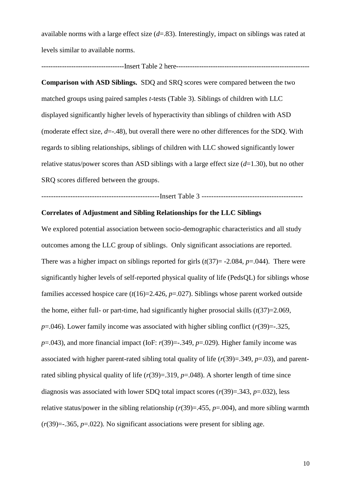available norms with a large effect size (*d*=.83). Interestingly, impact on siblings was rated at levels similar to available norms.

------------------------------------Insert Table 2 here----------------------------------------------------------

**Comparison with ASD Siblings.** SDQ and SRQ scores were compared between the two matched groups using paired samples *t*-tests (Table 3). Siblings of children with LLC displayed significantly higher levels of hyperactivity than siblings of children with ASD (moderate effect size, *d*=-.48), but overall there were no other differences for the SDQ. With regards to sibling relationships, siblings of children with LLC showed significantly lower relative status/power scores than ASD siblings with a large effect size (*d*=1.30), but no other SRQ scores differed between the groups.

-------------------------------------------------Insert Table 3 ------------------------------------------

### **Correlates of Adjustment and Sibling Relationships for the LLC Siblings**

We explored potential association between socio-demographic characteristics and all study outcomes among the LLC group of siblings. Only significant associations are reported. There was a higher impact on siblings reported for girls  $(t(37)) = -2.084$ ,  $p = .044$ ). There were significantly higher levels of self-reported physical quality of life (PedsQL) for siblings whose families accessed hospice care  $(t(16)=2.426, p=.027)$ . Siblings whose parent worked outside the home, either full- or part-time, had significantly higher prosocial skills  $(t(37)=2.069)$ ,  $p=0.046$ ). Lower family income was associated with higher sibling conflict ( $r(39)$ = $-0.325$ ,  $p=0.043$ ), and more financial impact (IoF:  $r(39)=-0.349$ ,  $p=.029$ ). Higher family income was associated with higher parent-rated sibling total quality of life (*r*(39)=.349, *p*=.03), and parentrated sibling physical quality of life  $(r(39)=0.319, p=.048)$ . A shorter length of time since diagnosis was associated with lower SDQ total impact scores (*r*(39)=.343, *p*=.032), less relative status/power in the sibling relationship  $(r(39)=.455, p=.004)$ , and more sibling warmth  $(r(39)=-.365, p=.022)$ . No significant associations were present for sibling age.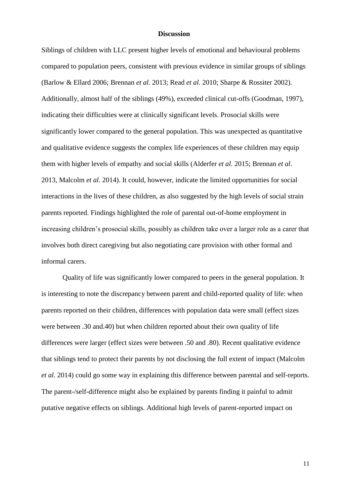#### **Discussion**

Siblings of children with LLC present higher levels of emotional and behavioural problems compared to population peers, consistent with previous evidence in similar groups of siblings (Barlow & Ellard 2006; Brennan *et al.* 2013; Read *et al.* 2010; Sharpe & Rossiter 2002). Additionally, almost half of the siblings (49%), exceeded clinical cut-offs (Goodman, 1997), indicating their difficulties were at clinically significant levels. Prosocial skills were significantly lower compared to the general population. This was unexpected as quantitative and qualitative evidence suggests the complex life experiences of these children may equip them with higher levels of empathy and social skills (Alderfer *et al.* 2015; Brennan *et al*. 2013, Malcolm *et al.* 2014). It could, however, indicate the limited opportunities for social interactions in the lives of these children, as also suggested by the high levels of social strain parents reported. Findings highlighted the role of parental out-of-home employment in increasing children's prosocial skills, possibly as children take over a larger role as a carer that involves both direct caregiving but also negotiating care provision with other formal and informal carers.

Quality of life was significantly lower compared to peers in the general population. It is interesting to note the discrepancy between parent and child-reported quality of life: when parents reported on their children, differences with population data were small (effect sizes were between .30 and.40) but when children reported about their own quality of life differences were larger (effect sizes were between .50 and .80). Recent qualitative evidence that siblings tend to protect their parents by not disclosing the full extent of impact (Malcolm *et al.* 2014) could go some way in explaining this difference between parental and self-reports. The parent-/self-difference might also be explained by parents finding it painful to admit putative negative effects on siblings. Additional high levels of parent-reported impact on

11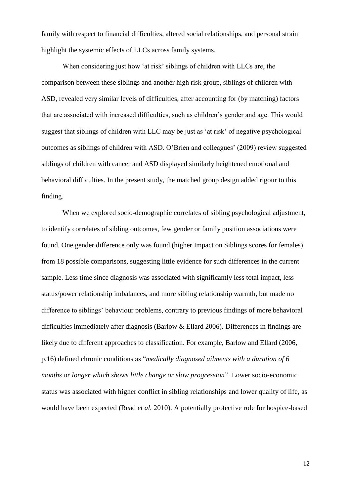family with respect to financial difficulties, altered social relationships, and personal strain highlight the systemic effects of LLCs across family systems.

When considering just how 'at risk' siblings of children with LLCs are, the comparison between these siblings and another high risk group, siblings of children with ASD, revealed very similar levels of difficulties, after accounting for (by matching) factors that are associated with increased difficulties, such as children's gender and age. This would suggest that siblings of children with LLC may be just as 'at risk' of negative psychological outcomes as siblings of children with ASD. O'Brien and colleagues' (2009) review suggested siblings of children with cancer and ASD displayed similarly heightened emotional and behavioral difficulties. In the present study, the matched group design added rigour to this finding.

When we explored socio-demographic correlates of sibling psychological adjustment, to identify correlates of sibling outcomes, few gender or family position associations were found. One gender difference only was found (higher Impact on Siblings scores for females) from 18 possible comparisons, suggesting little evidence for such differences in the current sample. Less time since diagnosis was associated with significantly less total impact, less status/power relationship imbalances, and more sibling relationship warmth, but made no difference to siblings' behaviour problems, contrary to previous findings of more behavioral difficulties immediately after diagnosis (Barlow & Ellard 2006). Differences in findings are likely due to different approaches to classification. For example, Barlow and Ellard (2006, p.16) defined chronic conditions as "*medically diagnosed ailments with a duration of 6 months or longer which shows little change or slow progression*". Lower socio-economic status was associated with higher conflict in sibling relationships and lower quality of life, as would have been expected (Read *et al.* 2010). A potentially protective role for hospice-based

12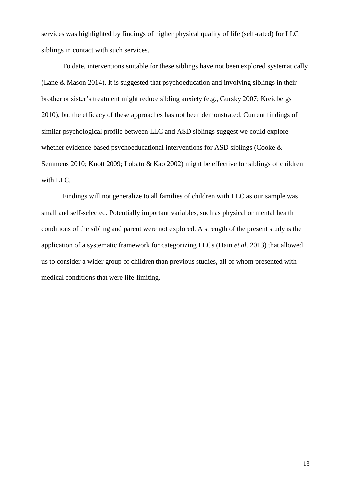services was highlighted by findings of higher physical quality of life (self-rated) for LLC siblings in contact with such services.

To date, interventions suitable for these siblings have not been explored systematically (Lane & Mason 2014). It is suggested that psychoeducation and involving siblings in their brother or sister's treatment might reduce sibling anxiety (e.g., Gursky 2007; Kreicbergs 2010), but the efficacy of these approaches has not been demonstrated. Current findings of similar psychological profile between LLC and ASD siblings suggest we could explore whether evidence-based psychoeducational interventions for ASD siblings (Cooke & Semmens 2010; Knott 2009; Lobato & Kao 2002) might be effective for siblings of children with LLC.

Findings will not generalize to all families of children with LLC as our sample was small and self-selected. Potentially important variables, such as physical or mental health conditions of the sibling and parent were not explored. A strength of the present study is the application of a systematic framework for categorizing LLCs (Hain *et al*. 2013) that allowed us to consider a wider group of children than previous studies, all of whom presented with medical conditions that were life-limiting.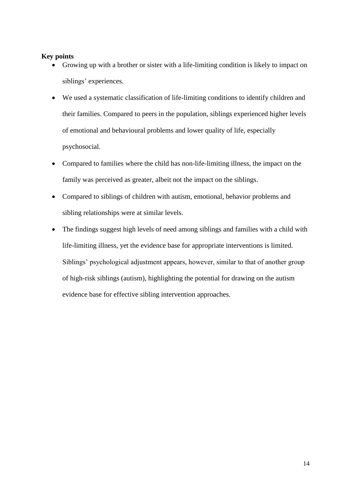## **Key points**

- Growing up with a brother or sister with a life-limiting condition is likely to impact on siblings' experiences.
- We used a systematic classification of life-limiting conditions to identify children and their families. Compared to peers in the population, siblings experienced higher levels of emotional and behavioural problems and lower quality of life, especially psychosocial.
- Compared to families where the child has non-life-limiting illness, the impact on the family was perceived as greater, albeit not the impact on the siblings.
- Compared to siblings of children with autism, emotional, behavior problems and sibling relationships were at similar levels.
- The findings suggest high levels of need among siblings and families with a child with life-limiting illness, yet the evidence base for appropriate interventions is limited. Siblings' psychological adjustment appears, however, similar to that of another group of high-risk siblings (autism), highlighting the potential for drawing on the autism evidence base for effective sibling intervention approaches.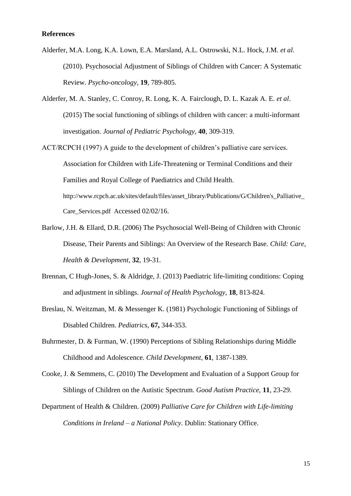#### **References**

- Alderfer, M.A. Long, K.A. Lown, E.A. Marsland, A.L. Ostrowski, N.L. Hock, J.M. *et al.* (2010). Psychosocial Adjustment of Siblings of Children with Cancer: A Systematic Review. *Psycho-oncology*, **19**, 789-805.
- Alderfer, M. A. Stanley, C. Conroy, R. Long, K. A. Fairclough, D. L. Kazak A. E. *et al*. (2015) The social functioning of siblings of children with cancer: a multi-informant investigation. *Journal of Pediatric Psychology,* **40**, 309-319.
- ACT/RCPCH (1997) A guide to the development of children's palliative care services. Association for Children with Life-Threatening or Terminal Conditions and their Families and Royal College of Paediatrics and Child Health. http://www.rcpch.ac.uk/sites/default/files/asset\_library/Publications/G/Children's\_Palliative\_ Care\_Services.pdf Accessed 02/02/16.
- Barlow, J.H. & Ellard, D.R. (2006) The Psychosocial Well-Being of Children with Chronic Disease, Their Parents and Siblings: An Overview of the Research Base. *Child: Care, Health & Development,* **32**, 19-31*.*
- Brennan, C Hugh-Jones, S. & Aldridge, J. (2013) Paediatric life-limiting conditions: Coping and adjustment in siblings. *Journal of Health Psychology,* **18**, 813-824.
- Breslau, N. Weitzman, M. & Messenger K. (1981) Psychologic Functioning of Siblings of Disabled Children. *Pediatrics*, **67,** 344-353.
- Buhrmester, D. & Furman, W. (1990) Perceptions of Sibling Relationships during Middle Childhood and Adolescence. *Child Development*, **61**, 1387-1389.
- Cooke, J. & Semmens, C. (2010) The Development and Evaluation of a Support Group for Siblings of Children on the Autistic Spectrum. *Good Autism Practice,* **11**, 23-29.
- Department of Health & Children. (2009) *Palliative Care for Children with Life-limiting Conditions in Ireland* – *a National Policy*. Dublin: Stationary Office.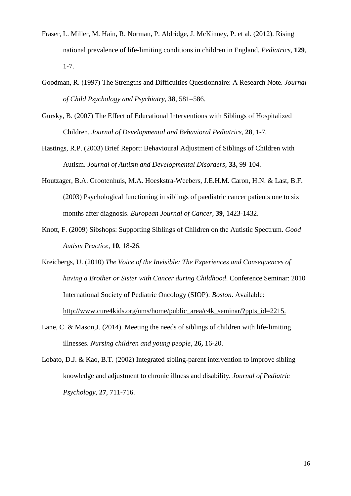- Fraser, L. Miller, M. Hain, R. Norman, P. Aldridge, J. McKinney, P. et al. (2012). Rising national prevalence of life-limiting conditions in children in England. *Pediatrics,* **129**, 1-7.
- Goodman, R. (1997) The Strengths and Difficulties Questionnaire: A Research Note. *Journal of Child Psychology and Psychiatry,* **38**, 581–586.
- Gursky, B. (2007) The Effect of Educational Interventions with Siblings of Hospitalized Children. *Journal of Developmental and Behavioral Pediatrics,* **28**, 1-7*.*
- Hastings, R.P. (2003) Brief Report: Behavioural Adjustment of Siblings of Children with Autism. *Journal of Autism and Developmental Disorders*, **33,** 99-104.
- Houtzager, B.A. Grootenhuis, M.A. Hoeskstra-Weebers, J.E.H.M. Caron, H.N. & Last, B.F. (2003) Psychological functioning in siblings of paediatric cancer patients one to six months after diagnosis. *European Journal of Cancer*, **39**, 1423-1432.
- Knott, F. (2009) Sibshops: Supporting Siblings of Children on the Autistic Spectrum. *Good Autism Practice,* **10**, 18-26.
- Kreicbergs, U. (2010) *The Voice of the Invisible: The Experiences and Consequences of having a Brother or Sister with Cancer during Childhood*. Conference Seminar: 2010 International Society of Pediatric Oncology (SIOP): *Boston*. Available: [http://www.cure4kids.org/ums/home/public\\_area/c4k\\_seminar/?ppts\\_id=2215.](http://www.cure4kids.org/ums/home/public_area/c4k_seminar/?ppts_id=2215.)
- Lane, C. & Mason,J. (2014). Meeting the needs of siblings of children with life-limiting illnesses. *Nursing children and young people*, **26,** 16-20.
- Lobato, D.J. & Kao, B.T. (2002) Integrated sibling-parent intervention to improve sibling knowledge and adjustment to chronic illness and disability. *Journal of Pediatric Psychology,* **27**, 711-716.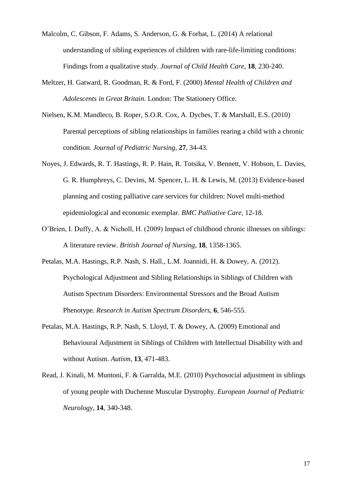- Malcolm, C. Gibson, F. Adams, S. Anderson, G. & Forbat, L. (2014) A relational understanding of sibling experiences of children with rare-life-limiting conditions: Findings from a qualitative study. *Journal of Child Health Care*, **18**, 230-240.
- Meltzer, H. Gatward, R. Goodman, R. & Ford, F. (2000) *Mental Health of Children and Adolescents in Great Britain*. London: The Stationery Office.
- Nielsen, K.M. Mandleco, B. Roper, S.O.R. Cox, A. Dyches, T. & Marshall, E.S. (2010) Parental perceptions of sibling relationships in families rearing a child with a chronic condition. *Journal of Pediatric Nursing*, **27**, 34-43.
- Noyes, J. Edwards, R. T. Hastings, R. P. Hain, R. Totsika, V. Bennett, V. Hobson, L. Davies, G. R. Humphreys, C. Devins, M. Spencer, L. H. & Lewis, M. (2013) Evidence-based planning and costing palliative care services for children: Novel multi-method epidemiological and economic exemplar. *BMC Palliative Care*, 12-18.
- O'Brien, I. Duffy, A. & Nicholl, H. (2009) Impact of childhood chronic illnesses on siblings: A literature review. *British Journal of Nursing*, **18**, 1358-1365.
- Petalas, M.A. Hastings, R.P. Nash, S. Hall., L.M. Joannidi, H. & Dowey, A. (2012). Psychological Adjustment and Sibling Relationships in Siblings of Children with Autism Spectrum Disorders: Environmental Stressors and the Broad Autism Phenotype. *Research in Autism Spectrum Disorders*, **6**, 546-555.
- Petalas, M.A. Hastings, R.P. Nash, S. Lloyd, T. & Dowey, A. (2009) Emotional and Behavioural Adjustment in Siblings of Children with Intellectual Disability with and without Autism. *Autism*, **13**, 471-483.
- Read, J. Kinali, M. Muntoni, F. & Garralda, M.E. (2010) Psychosocial adjustment in siblings of young people with Duchenne Muscular Dystrophy. *European Journal of Pediatric Neurology*, **14**, 340-348.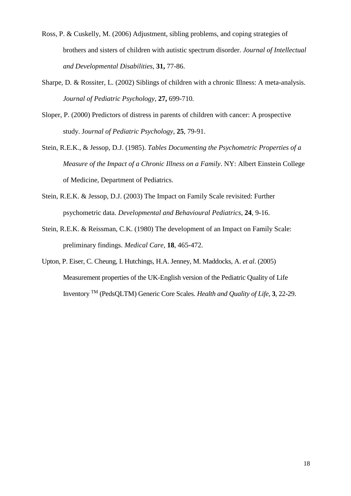- Ross, P. & Cuskelly, M. (2006) Adjustment, sibling problems, and coping strategies of brothers and sisters of children with autistic spectrum disorder. *Journal of Intellectual and Developmental Disabilities*, **31,** 77-86.
- Sharpe, D. & Rossiter, L. (2002) Siblings of children with a chronic Illness: A meta-analysis. *Journal of Pediatric Psychology,* **27,** 699-710*.*
- Sloper, P. (2000) Predictors of distress in parents of children with cancer: A prospective study. J*ournal of Pediatric Psychology*, **25**, 79-91.
- Stein, R.E.K., & Jessop, D.J. (1985). *Tables Documenting the Psychometric Properties of a Measure of the Impact of a Chronic Illness on a Family*. NY: Albert Einstein College of Medicine, Department of Pediatrics.
- Stein, R.E.K. & Jessop, D.J. (2003) The Impact on Family Scale revisited: Further psychometric data. *Developmental and Behavioural Pediatrics*, **24**, 9-16.
- Stein, R.E.K. & Reissman, C.K. (1980) The development of an Impact on Family Scale: preliminary findings. *Medical Care*, **18**, 465-472.
- Upton, P. Eiser, C. Cheung, I. Hutchings, H.A. Jenney, M. Maddocks, A. *et al*. (2005) Measurement properties of the UK-English version of the Pediatric Quality of Life Inventory TM (PedsQLTM) Generic Core Scales. *Health and Quality of Life*, **3**, 22-29.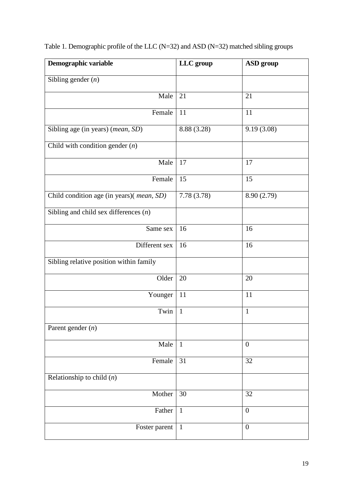| Demographic variable                     | LLC group    | <b>ASD</b> group |
|------------------------------------------|--------------|------------------|
| Sibling gender $(n)$                     |              |                  |
| Male                                     | 21           | 21               |
| Female                                   | 11           | 11               |
| Sibling age (in years) (mean, SD)        | 8.88 (3.28)  | 9.19(3.08)       |
| Child with condition gender $(n)$        |              |                  |
| Male                                     | 17           | 17               |
| Female                                   | 15           | 15               |
| Child condition age (in years)(mean, SD) | 7.78(3.78)   | 8.90 (2.79)      |
| Sibling and child sex differences $(n)$  |              |                  |
| Same sex                                 | 16           | 16               |
| Different sex                            | 16           | 16               |
| Sibling relative position within family  |              |                  |
| Older                                    | 20           | 20               |
| Younger                                  | 11           | 11               |
| Twin                                     | $\mathbf{1}$ | $\mathbf{1}$     |
| Parent gender $(n)$                      |              |                  |
| Male                                     | $\mathbf{1}$ | $\overline{0}$   |
| Female                                   | 31           | 32               |
| Relationship to child $(n)$              |              |                  |
| Mother                                   | 30           | 32               |
| Father                                   | $\mathbf{1}$ | $\overline{0}$   |
| Foster parent                            | $\mathbf{1}$ | $\boldsymbol{0}$ |

Table 1. Demographic profile of the LLC (N=32) and ASD (N=32) matched sibling groups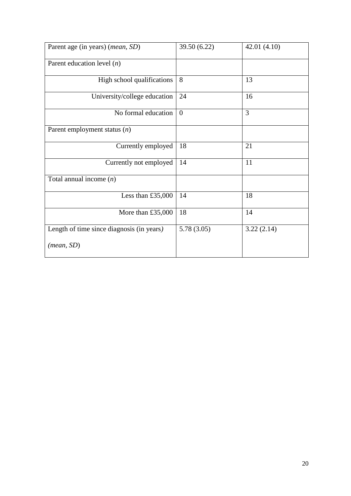| Parent age (in years) ( <i>mean</i> , SD) | 39.50 (6.22) | 42.01(4.10) |
|-------------------------------------------|--------------|-------------|
| Parent education level $(n)$              |              |             |
| High school qualifications                | 8            | 13          |
| University/college education              | 24           | 16          |
| No formal education                       | $\theta$     | 3           |
| Parent employment status $(n)$            |              |             |
| Currently employed                        | 18           | 21          |
| Currently not employed                    | 14           | 11          |
| Total annual income $(n)$                 |              |             |
| Less than $£35,000$                       | 14           | 18          |
| More than $£35,000$                       | 18           | 14          |
| Length of time since diagnosis (in years) | 5.78(3.05)   | 3.22(2.14)  |
| (mean, SD)                                |              |             |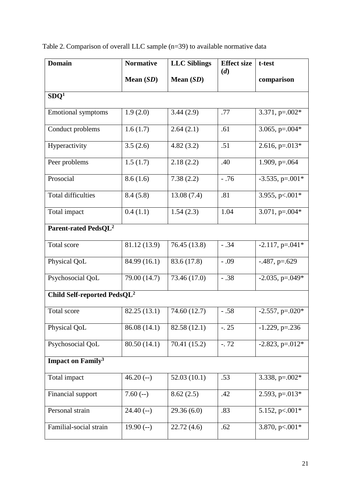| <b>Domain</b>                           | <b>Normative</b> | <b>LLC</b> Siblings | <b>Effect size</b><br>(d) | t-test             |
|-----------------------------------------|------------------|---------------------|---------------------------|--------------------|
|                                         | Mean $(SD)$      | Mean (SD)           |                           | comparison         |
| SDQ <sup>1</sup>                        |                  |                     |                           |                    |
| <b>Emotional symptoms</b>               | 1.9(2.0)         | 3.44(2.9)           | .77                       | 3.371, $p=.002*$   |
| Conduct problems                        | 1.6(1.7)         | 2.64(2.1)           | .61                       | 3.065, $p=.004*$   |
| Hyperactivity                           | 3.5(2.6)         | 4.82(3.2)           | .51                       | $2.616$ , p=.013*  |
| Peer problems                           | 1.5(1.7)         | 2.18(2.2)           | .40                       | $1.909$ , p=.064   |
| Prosocial                               | 8.6(1.6)         | 7.38(2.2)           | $-.76$                    | $-3.535$ , p=.001* |
| <b>Total difficulties</b>               | 8.4(5.8)         | 13.08(7.4)          | .81                       | 3.955, p <. 001*   |
| Total impact                            | 0.4(1.1)         | 1.54(2.3)           | 1.04                      | 3.071, $p=.004*$   |
| Parent-rated PedsQL <sup>2</sup>        |                  |                     |                           |                    |
| Total score                             | 81.12 (13.9)     | 76.45 (13.8)        | $-.34$                    | $-2.117$ , p=.041* |
| Physical QoL                            | 84.99 (16.1)     | 83.6 (17.8)         | $-.09$                    | $-487$ , p=.629    |
| Psychosocial QoL                        | 79.00 (14.7)     | 73.46 (17.0)        | $-.38$                    | $-2.035$ , p=.049* |
| Child Self-reported PedsQL <sup>2</sup> |                  |                     |                           |                    |
| Total score                             | 82.25 (13.1)     | 74.60 (12.7)        | $-.58$                    | $-2.557$ , p=.020* |
| Physical QoL                            | 86.08 (14.1)     | 82.58 (12.1)        | $-.25$                    | $-1.229$ , p=.236  |
| Psychosocial QoL                        | 80.50 (14.1)     | 70.41 (15.2)        | $-.72$                    | $-2.823$ , p=.012* |
| <b>Impact on Family<sup>3</sup></b>     |                  |                     |                           |                    |
| Total impact                            | $46.20(-)$       | 52.03(10.1)         | .53                       | 3.338, $p=.002*$   |
| Financial support                       | $7.60(-)$        | 8.62(2.5)           | .42                       | 2.593, $p=.013*$   |
| Personal strain                         | $24.40(-)$       | 29.36(6.0)          | .83                       | 5.152, p<.001*     |
| Familial-social strain                  | $19.90(-)$       | 22.72(4.6)          | .62                       | 3.870, $p<.001*$   |

Table 2. Comparison of overall LLC sample (n=39) to available normative data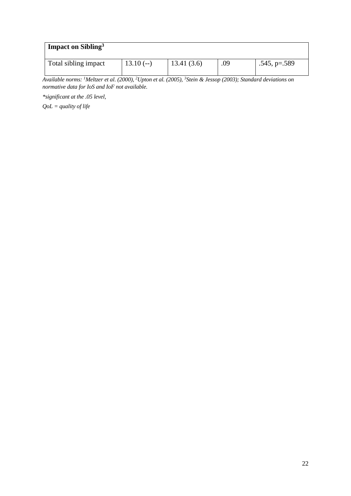| Impact on Sibling <sup>3</sup> |            |            |     |                |
|--------------------------------|------------|------------|-----|----------------|
| Total sibling impact           | $13.10(-)$ | 13.41(3.6) | .09 | $.545, p=.589$ |

*Available norms: <sup>1</sup>Meltzer et al. (2000), <sup>2</sup>Upton et al. (2005), <sup>3</sup>Stein & Jessop (2003); Standard deviations on normative data for IoS and IoF not available.*

*\*significant at the .05 level,* 

*QoL = quality of life*